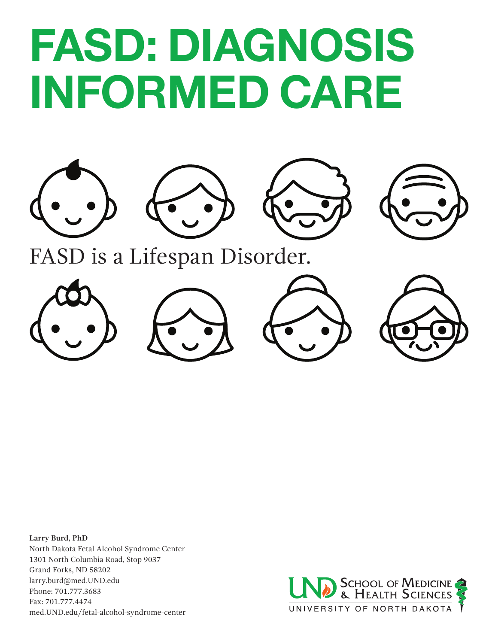# FASD: DIAGNOSIS INFORMED CARE





FASD is a Lifespan Disorder.



**Larry Burd, PhD** North Dakota Fetal Alcohol Syndrome Center 1301 North Columbia Road, Stop 9037 Grand Forks, ND 58202 larry.burd@med.UND.edu Phone: 701.777.3683 Fax: 701.777.4474 med.UND.edu/fetal-alcohol-syndrome-center

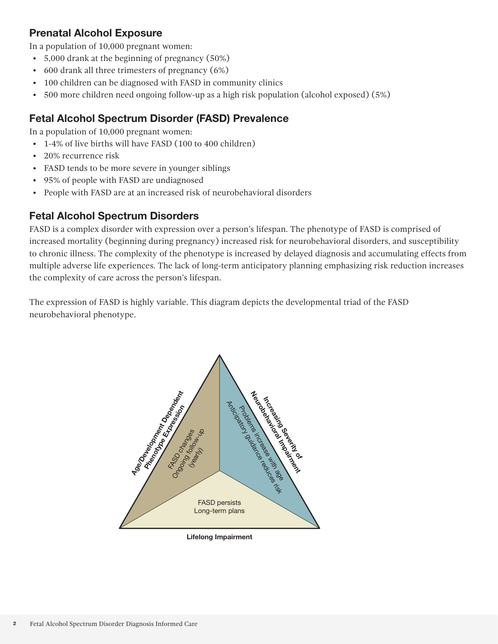#### Prenatal Alcohol Exposure

In a population of 10,000 pregnant women:

- 5,000 drank at the beginning of pregnancy (50%)
- 600 drank all three trimesters of pregnancy (6%)
- 100 children can be diagnosed with FASD in community clinics
- 500 more children need ongoing follow-up as a high risk population (alcohol exposed) (5%)

#### Fetal Alcohol Spectrum Disorder (FASD) Prevalence

In a population of 10,000 pregnant women:

- 1-4% of live births will have FASD (100 to 400 children)
- 20% recurrence risk
- FASD tends to be more severe in younger siblings
- 95% of people with FASD are undiagnosed
- People with FASD are at an increased risk of neurobehavioral disorders

#### Fetal Alcohol Spectrum Disorders

FASD is a complex disorder with expression over a person's lifespan. The phenotype of FASD is comprised of increased mortality (beginning during pregnancy) increased risk for neurobehavioral disorders, and susceptibility to chronic illness. The complexity of the phenotype is increased by delayed diagnosis and accumulating effects from multiple adverse life experiences. The lack of long-term anticipatory planning emphasizing risk reduction increases the complexity of care across the person's lifespan.

The expression of FASD is highly variable. This diagram depicts the developmental triad of the FASD neurobehavioral phenotype.



**Lifelong Impairment**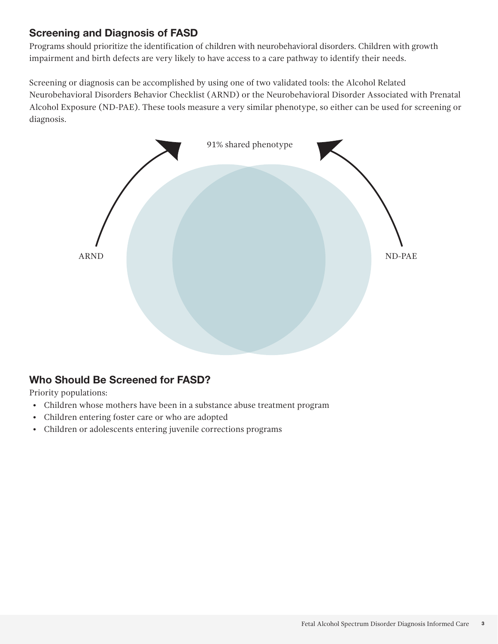#### Screening and Diagnosis of FASD

Programs should prioritize the identification of children with neurobehavioral disorders. Children with growth impairment and birth defects are very likely to have access to a care pathway to identify their needs.

Screening or diagnosis can be accomplished by using one of two validated tools: the Alcohol Related Neurobehavioral Disorders Behavior Checklist (ARND) or the Neurobehavioral Disorder Associated with Prenatal Alcohol Exposure (ND-PAE). These tools measure a very similar phenotype, so either can be used for screening or diagnosis.



### Who Should Be Screened for FASD?

Priority populations:

- Children whose mothers have been in a substance abuse treatment program
- Children entering foster care or who are adopted
- Children or adolescents entering juvenile corrections programs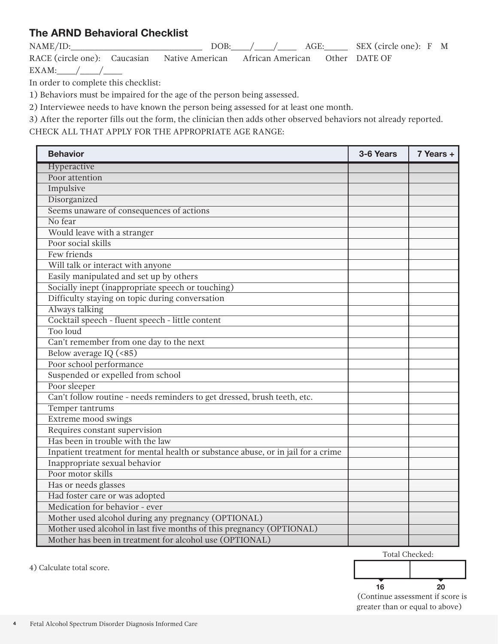### The ARND Behavioral Checklist

NAME/ID: DOB: / / AGE: SEX (circle one): F M RACE (circle one): Caucasian Native American African American Other DATE OF

EXAM:  $/$  /

In order to complete this checklist:

1) Behaviors must be impaired for the age of the person being assessed.

2) Interviewee needs to have known the person being assessed for at least one month.

3) After the reporter fills out the form, the clinician then adds other observed behaviors not already reported.

CHECK ALL THAT APPLY FOR THE APPROPRIATE AGE RANGE:

| <b>Behavior</b>                                                                  | 3-6 Years | 7 Years + |
|----------------------------------------------------------------------------------|-----------|-----------|
| Hyperactive                                                                      |           |           |
| Poor attention                                                                   |           |           |
| Impulsive                                                                        |           |           |
| Disorganized                                                                     |           |           |
| Seems unaware of consequences of actions                                         |           |           |
| No fear                                                                          |           |           |
| Would leave with a stranger                                                      |           |           |
| Poor social skills                                                               |           |           |
| Few friends                                                                      |           |           |
| Will talk or interact with anyone                                                |           |           |
| Easily manipulated and set up by others                                          |           |           |
| Socially inept (inappropriate speech or touching)                                |           |           |
| Difficulty staying on topic during conversation                                  |           |           |
| Always talking                                                                   |           |           |
| Cocktail speech - fluent speech - little content                                 |           |           |
| Too loud                                                                         |           |           |
| Can't remember from one day to the next                                          |           |           |
| Below average IQ (<85)                                                           |           |           |
| Poor school performance                                                          |           |           |
| Suspended or expelled from school                                                |           |           |
| Poor sleeper                                                                     |           |           |
| Can't follow routine - needs reminders to get dressed, brush teeth, etc.         |           |           |
| Temper tantrums                                                                  |           |           |
| Extreme mood swings                                                              |           |           |
| Requires constant supervision                                                    |           |           |
| Has been in trouble with the law                                                 |           |           |
| Inpatient treatment for mental health or substance abuse, or in jail for a crime |           |           |
| Inappropriate sexual behavior                                                    |           |           |
| Poor motor skills                                                                |           |           |
| Has or needs glasses                                                             |           |           |
| Had foster care or was adopted                                                   |           |           |
| Medication for behavior - ever                                                   |           |           |
| Mother used alcohol during any pregnancy (OPTIONAL)                              |           |           |
| Mother used alcohol in last five months of this pregnancy (OPTIONAL)             |           |           |
| Mother has been in treatment for alcohol use (OPTIONAL)                          |           |           |

Total Checked:



4) Calculate total score.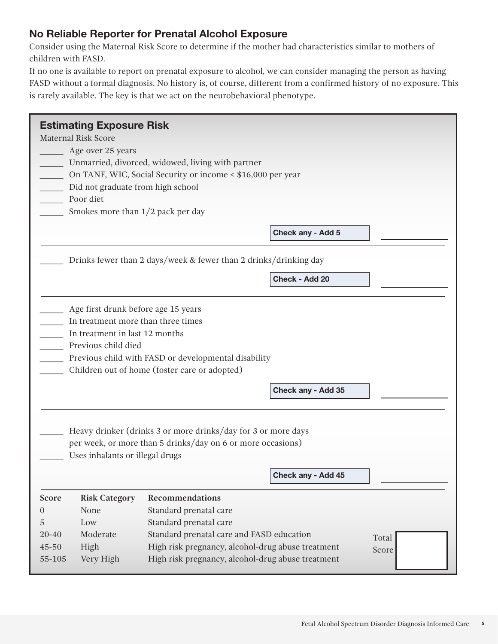#### No Reliable Reporter for Prenatal Alcohol Exposure

Consider using the Maternal Risk Score to determine if the mother had characteristics similar to mothers of children with FASD.

If no one is available to report on prenatal exposure to alcohol, we can consider managing the person as having FASD without a formal diagnosis. No history is, of course, different from a confirmed history of no exposure. This is rarely available. The key is that we act on the neurobehavioral phenotype.

|                | <b>Estimating Exposure Risk</b>     |                                                                  |  |
|----------------|-------------------------------------|------------------------------------------------------------------|--|
|                | <b>Maternal Risk Score</b>          |                                                                  |  |
|                | Age over 25 years                   |                                                                  |  |
|                |                                     | Unmarried, divorced, widowed, living with partner                |  |
|                |                                     | On TANF, WIC, Social Security or income < \$16,000 per year      |  |
|                | Did not graduate from high school   |                                                                  |  |
|                | Poor diet                           |                                                                  |  |
|                | Smokes more than $1/2$ pack per day |                                                                  |  |
|                |                                     | Check any - Add 5                                                |  |
|                |                                     |                                                                  |  |
|                |                                     | Drinks fewer than 2 days/week & fewer than 2 drinks/drinking day |  |
|                |                                     | Check - Add 20                                                   |  |
|                |                                     |                                                                  |  |
|                | Age first drunk before age 15 years |                                                                  |  |
|                | In treatment more than three times  |                                                                  |  |
|                | In treatment in last 12 months      |                                                                  |  |
|                | Previous child died                 |                                                                  |  |
|                |                                     | Previous child with FASD or developmental disability             |  |
|                |                                     | Children out of home (foster care or adopted)                    |  |
|                |                                     |                                                                  |  |
|                |                                     | Check any - Add 35                                               |  |
|                |                                     |                                                                  |  |
|                |                                     |                                                                  |  |
|                |                                     | Heavy drinker (drinks 3 or more drinks/day for 3 or more days    |  |
|                |                                     | per week, or more than 5 drinks/day on 6 or more occasions)      |  |
|                | Uses inhalants or illegal drugs     |                                                                  |  |
|                |                                     |                                                                  |  |
|                |                                     | Check any - Add 45                                               |  |
| Score          | <b>Risk Category</b>                | Recommendations                                                  |  |
| $\overline{0}$ | None                                | Standard prenatal care                                           |  |
| 5              | Low                                 | Standard prenatal care                                           |  |
| $20 - 40$      | Moderate                            | Standard prenatal care and FASD education<br>Total               |  |
| 45-50          | High                                | High risk pregnancy, alcohol-drug abuse treatment<br>Score       |  |
| 55-105         | Very High                           | High risk pregnancy, alcohol-drug abuse treatment                |  |
|                |                                     |                                                                  |  |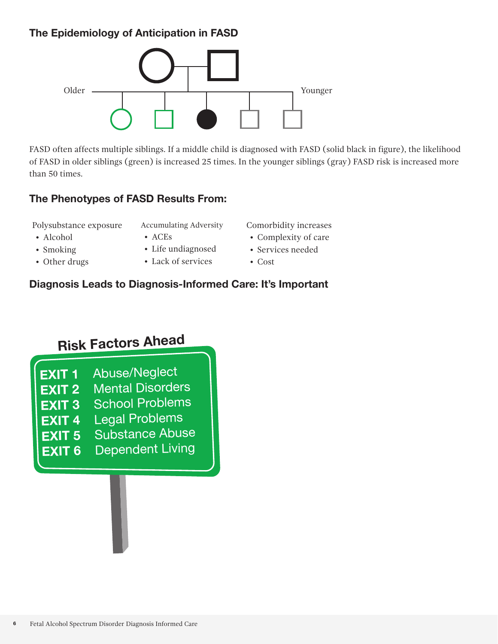# The Epidemiology of Anticipation in FASD



FASD often affects multiple siblings. If a middle child is diagnosed with FASD (solid black in figure), the likelihood of FASD in older siblings (green) is increased 25 times. In the younger siblings (gray) FASD risk is increased more than 50 times.

#### The Phenotypes of FASD Results From:

Polysubstance exposure

• Alcohol • Smoking • Other drugs

- Accumulating Adversity
	-
- ACEs
- Life undiagnosed • Lack of services
- Comorbidity increases
- Complexity of care
- Services needed
- Cost

# Diagnosis Leads to Diagnosis-Informed Care: It's Important

# **Risk Factors Ahead**

| <b>EXIT 1</b> | Abuse/Neglect           |
|---------------|-------------------------|
| <b>EXIT 2</b> | <b>Mental Disorders</b> |
| <b>EXIT 3</b> | <b>School Problems</b>  |
| <b>EXIT 4</b> | <b>Legal Problems</b>   |
| <b>EXIT 5</b> | Substance Abuse         |
| <b>EXIT 6</b> | <b>Dependent Living</b> |
|               |                         |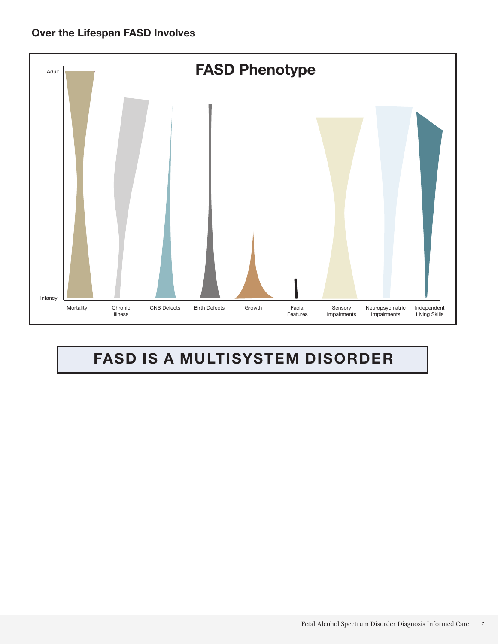

# FASD IS A MULTISYSTEM DISORDER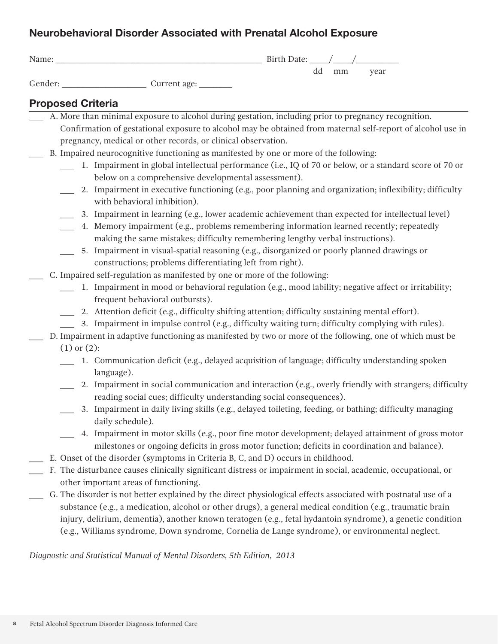## Neurobehavioral Disorder Associated with Prenatal Alcohol Exposure

| Name: |        | Birth Date: |    |    |      |
|-------|--------|-------------|----|----|------|
| ___   | $\sim$ |             | dd | mm | year |

# Gender: \_\_\_\_\_\_\_\_\_\_\_\_\_\_\_\_\_\_ Current age: \_\_\_\_\_\_\_

#### Proposed Criteria

| A. More than minimal exposure to alcohol during gestation, including prior to pregnancy recognition.                                                                           |
|--------------------------------------------------------------------------------------------------------------------------------------------------------------------------------|
| Confirmation of gestational exposure to alcohol may be obtained from maternal self-report of alcohol use in                                                                    |
| pregnancy, medical or other records, or clinical observation.                                                                                                                  |
| B. Impaired neurocognitive functioning as manifested by one or more of the following:                                                                                          |
| 1. Impairment in global intellectual performance (i.e., IQ of 70 or below, or a standard score of 70 or                                                                        |
| below on a comprehensive developmental assessment).                                                                                                                            |
| 2. Impairment in executive functioning (e.g., poor planning and organization; inflexibility; difficulty                                                                        |
| with behavioral inhibition).                                                                                                                                                   |
| 3. Impairment in learning (e.g., lower academic achievement than expected for intellectual level)<br>$\overline{\phantom{a}}$                                                  |
| 4. Memory impairment (e.g., problems remembering information learned recently; repeatedly                                                                                      |
| making the same mistakes; difficulty remembering lengthy verbal instructions).                                                                                                 |
| 5. Impairment in visual-spatial reasoning (e.g., disorganized or poorly planned drawings or                                                                                    |
| constructions; problems differentiating left from right).                                                                                                                      |
| C. Impaired self-regulation as manifested by one or more of the following:                                                                                                     |
| 1. Impairment in mood or behavioral regulation (e.g., mood lability; negative affect or irritability;                                                                          |
| frequent behavioral outbursts).                                                                                                                                                |
| 2. Attention deficit (e.g., difficulty shifting attention; difficulty sustaining mental effort).                                                                               |
| 3. Impairment in impulse control (e.g., difficulty waiting turn; difficulty complying with rules).                                                                             |
| D. Impairment in adaptive functioning as manifested by two or more of the following, one of which must be                                                                      |
| $(1)$ or $(2)$ :                                                                                                                                                               |
| 1. Communication deficit (e.g., delayed acquisition of language; difficulty understanding spoken                                                                               |
| language).                                                                                                                                                                     |
| 2. Impairment in social communication and interaction (e.g., overly friendly with strangers; difficulty<br>reading social cues; difficulty understanding social consequences). |
| 3. Impairment in daily living skills (e.g., delayed toileting, feeding, or bathing; difficulty managing                                                                        |
| daily schedule).                                                                                                                                                               |
| 4. Impairment in motor skills (e.g., poor fine motor development; delayed attainment of gross motor                                                                            |
| milestones or ongoing deficits in gross motor function; deficits in coordination and balance).                                                                                 |
| E. Onset of the disorder (symptoms in Criteria B, C, and D) occurs in childhood.                                                                                               |
| F. The disturbance causes clinically significant distress or impairment in social, academic, occupational, or                                                                  |
| other important areas of functioning.<br>G. The disorder is not better explained by the direct physiological effects associated with postnatal use of a                        |
| substance (e.g., a medication, alcohol or other drugs), a general medical condition (e.g., traumatic brain                                                                     |
| injury, delirium, dementia), another known teratogen (e.g., fetal hydantoin syndrome), a genetic condition                                                                     |
| (e.g., Williams syndrome, Down syndrome, Cornelia de Lange syndrome), or environmental neglect.                                                                                |
|                                                                                                                                                                                |

*Diagnostic and Statistical Manual of Mental Disorders, 5th Edition, 2013*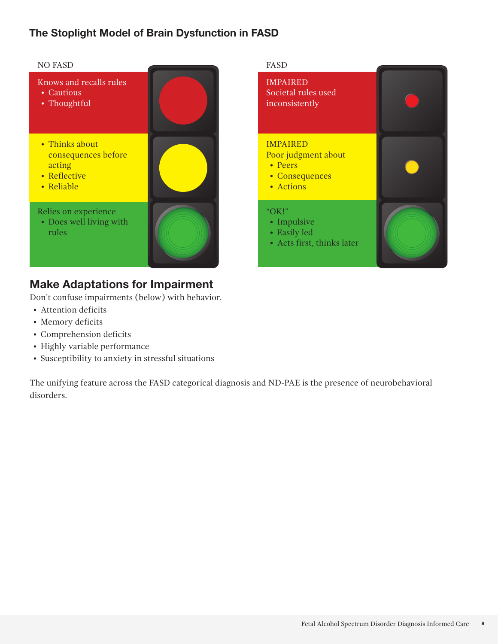#### The Stoplight Model of Brain Dysfunction in FASD



### Make Adaptations for Impairment

Don't confuse impairments (below) with behavior.

- Attention deficits
- Memory deficits
- Comprehension deficits
- Highly variable performance
- Susceptibility to anxiety in stressful situations

The unifying feature across the FASD categorical diagnosis and ND-PAE is the presence of neurobehavioral disorders.

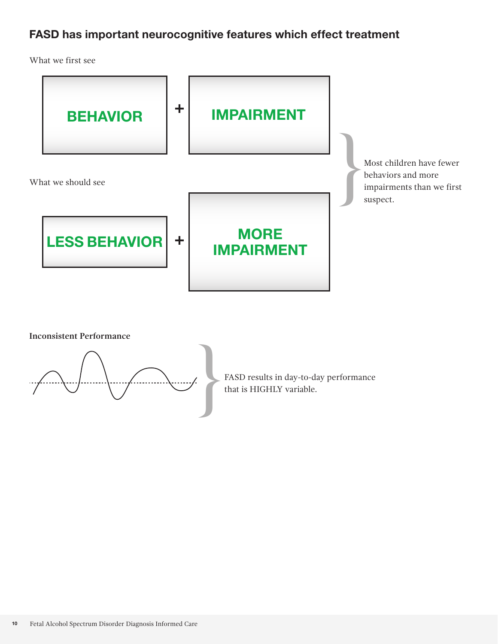# FASD has important neurocognitive features which effect treatment

What we first see





FASD results in day-to-day performance<br>that is HIGHLY variable.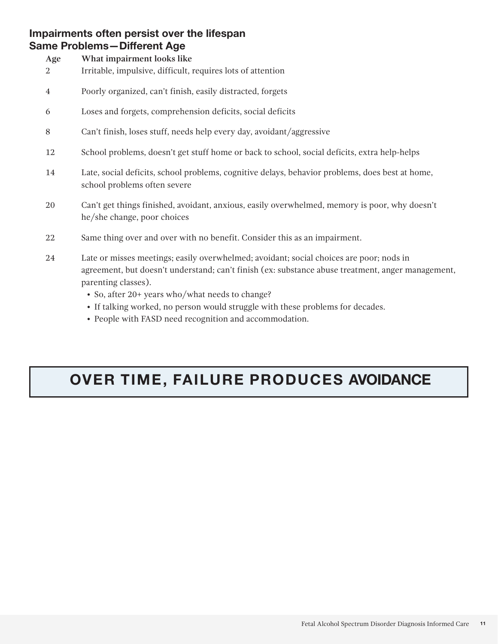#### Impairments often persist over the lifespan Same Problems—Different Age

| Age<br>2       | What impairment looks like<br>Irritable, impulsive, difficult, requires lots of attention                                       |
|----------------|---------------------------------------------------------------------------------------------------------------------------------|
| $\overline{4}$ | Poorly organized, can't finish, easily distracted, forgets                                                                      |
| 6              | Loses and forgets, comprehension deficits, social deficits                                                                      |
| 8              | Can't finish, loses stuff, needs help every day, avoidant/aggressive                                                            |
| 12             | School problems, doesn't get stuff home or back to school, social deficits, extra help-helps                                    |
| 14             | Late, social deficits, school problems, cognitive delays, behavior problems, does best at home,<br>school problems often severe |
| 20             | Can't get things finished, avoidant, anxious, easily overwhelmed, memory is poor, why doesn't<br>he/she change, poor choices    |
| 22             | Same thing over and over with no benefit. Consider this as an impairment.                                                       |
|                |                                                                                                                                 |

- 24 Late or misses meetings; easily overwhelmed; avoidant; social choices are poor; nods in agreement, but doesn't understand; can't finish (ex: substance abuse treatment, anger management, parenting classes).
	- So, after 20+ years who/what needs to change?
	- If talking worked, no person would struggle with these problems for decades.
	- People with FASD need recognition and accommodation.

# OVER TIME, FAILURE PRODUCES AVOIDANCE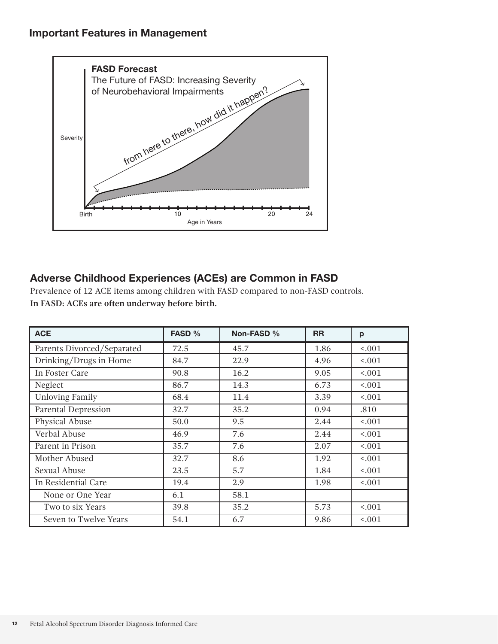

# Adverse Childhood Experiences (ACEs) are Common in FASD

Prevalence of 12 ACE items among children with FASD compared to non-FASD controls. **In FASD: ACEs are often underway before birth.**

| <b>ACE</b>                 | FASD % | Non-FASD %       | <b>RR</b> | p                 |
|----------------------------|--------|------------------|-----------|-------------------|
| Parents Divorced/Separated | 72.5   | 45.7             | 1.86      | < .001            |
| Drinking/Drugs in Home     | 84.7   | 22.9             | 4.96      | 0.001             |
| In Foster Care             | 90.8   | 16.2             | 9.05      | < .001            |
| Neglect                    | 86.7   | 14.3             | 6.73      | 1001              |
| <b>Unloving Family</b>     | 68.4   | 11.4             | 3.39      | 1001              |
| <b>Parental Depression</b> | 32.7   | 35.2             | 0.94      | .810              |
| Physical Abuse             | 50.0   | 9.5              | 2.44      | 0.001             |
| Verbal Abuse               | 46.9   | 7.6              | 2.44      | 0.001             |
| Parent in Prison           | 35.7   | 7.6              | 2.07      | < .001            |
| Mother Abused              | 32.7   | 8.6              | 1.92      | < .001            |
| Sexual Abuse               | 23.5   | $\overline{5.7}$ | 1.84      | $\overline{5001}$ |
| In Residential Care        | 19.4   | 2.9              | 1.98      | 0.001             |
| None or One Year           | 6.1    | 58.1             |           |                   |
| Two to six Years           | 39.8   | 35.2             | 5.73      | 1001              |
| Seven to Twelve Years      | 54.1   | 6.7              | 9.86      | < .001            |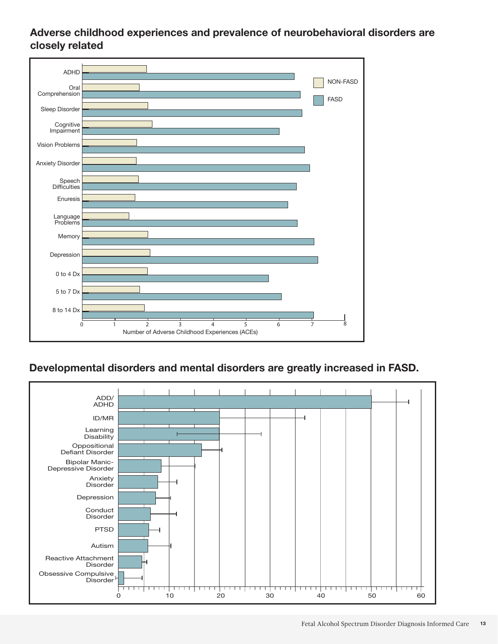#### Adverse childhood experiences and prevalence of neurobehavioral disorders are closely related



### Developmental disorders and mental disorders are greatly increased in FASD.

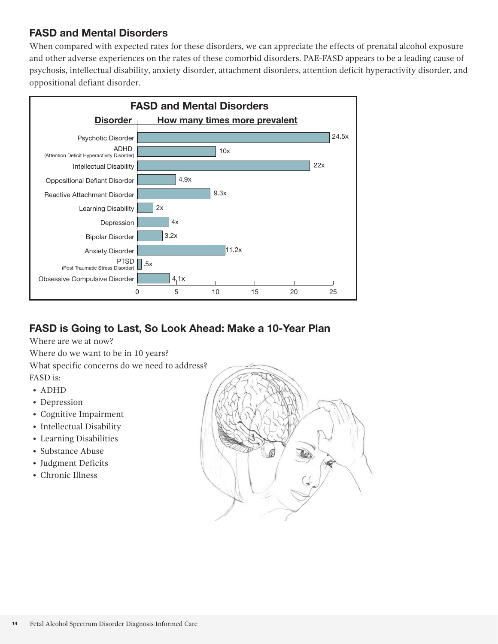#### FASD and Mental Disorders

When compared with expected rates for these disorders, we can appreciate the effects of prenatal alcohol exposure and other adverse experiences on the rates of these comorbid disorders. PAE-FASD appears to be a leading cause of psychosis, intellectual disability, anxiety disorder, attachment disorders, attention deficit hyperactivity disorder, and oppositional defiant disorder.



# FASD is Going to Last, So Look Ahead: Make a 10-Year Plan

Where are we at now?

Where do we want to be in 10 years?

What specific concerns do we need to address?

FASD is:

- ADHD
- Depression
- Cognitive Impairment
- Intellectual Disability
- Learning Disabilities
- Substance Abuse
- Judgment Deficits
- Chronic Illness

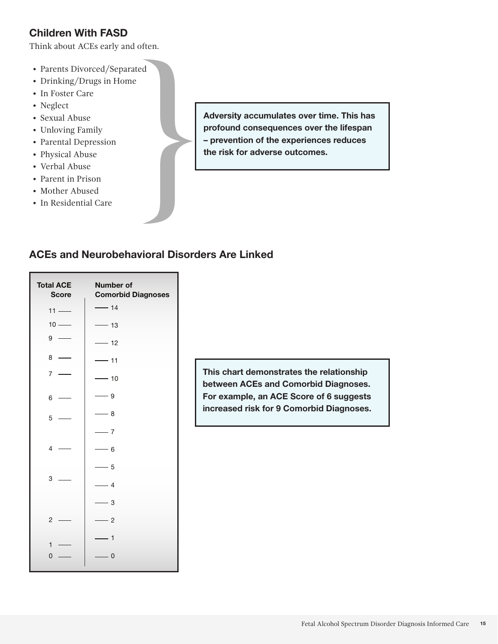#### Children With FASD

Think about ACEs early and often. Fink about ACEs early and often.<br>
• Parents Divorced/Separated<br>
• Drinking/Drugs in Home<br>
• In Foster Care<br>
• Neglect<br>
• Sexual Abuse<br>
• Unloving Family<br>
• Parental Depression<br>
• Physical Abuse<br>
• Verbal Abuse<br>
• Parent in

- Parents Divorced/Separated
- Drinking/Drugs in Home
- In Foster Care
- Neglect
- Sexual Abuse
- Unloving Family
- Parental Depression
- Physical Abuse
- Verbal Abuse
- Parent in Prison
- Mother Abused
- 

Adversity accumulates over time. This has profound consequences over the lifespan – prevention of the experiences reduces the risk for adverse outcomes.

#### ACEs and Neurobehavioral Disorders Are Linked

| <b>Total ACE</b><br><b>Score</b> | <b>Number of</b><br><b>Comorbid Diagnoses</b> |
|----------------------------------|-----------------------------------------------|
| $11 -$                           | $-14$                                         |
| $10 -$                           | $-13$                                         |
| 9                                | $-12$                                         |
| 8                                | 11<br>÷,                                      |
| $\overline{7}$                   | $-10$                                         |
| 6                                | - 9                                           |
| 5                                | $-8$                                          |
|                                  | $-7$                                          |
| $\overline{\mathcal{L}}$         | 6<br>$\overline{\phantom{0}}$                 |
|                                  | - 5                                           |
| 3                                | $\overline{4}$                                |
|                                  | 3<br>L.                                       |
| $\overline{c}$                   | $\overline{2}$<br>$\overline{\phantom{a}}$    |
| $\mathbf{1}$                     | 1                                             |
| 0                                | 0                                             |

This chart demonstrates the relationship between ACEs and Comorbid Diagnoses. For example, an ACE Score of 6 suggests increased risk for 9 Comorbid Diagnoses.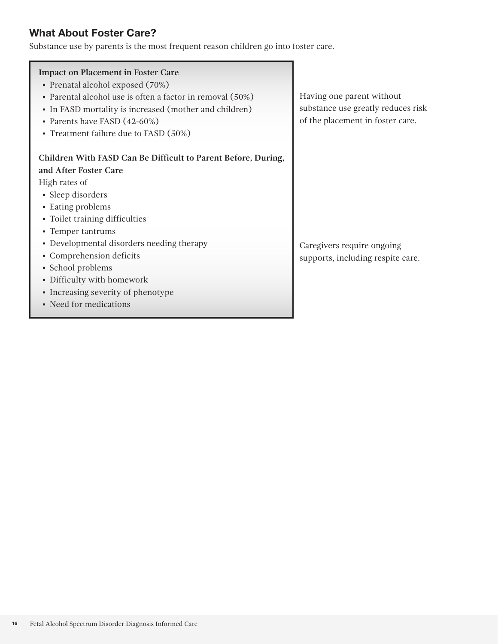#### What About Foster Care?

Substance use by parents is the most frequent reason children go into foster care.

| <b>Impact on Placement in Foster Care</b>                     |              |
|---------------------------------------------------------------|--------------|
| • Prenatal alcohol exposed (70%)                              |              |
| • Parental alcohol use is often a factor in removal (50%)     | Having one   |
| • In FASD mortality is increased (mother and children)        | substance v  |
| • Parents have FASD (42-60%)                                  | of the place |
| • Treatment failure due to FASD (50%)                         |              |
| Children With FASD Can Be Difficult to Parent Before, During, |              |
| and After Foster Care                                         |              |
| High rates of                                                 |              |
|                                                               |              |
| • Sleep disorders                                             |              |
| • Eating problems                                             |              |
| • Toilet training difficulties                                |              |
| • Temper tantrums                                             |              |
| • Developmental disorders needing therapy                     | Caregivers   |
| • Comprehension deficits                                      | supports, ir |
| • School problems                                             |              |
| • Difficulty with homework                                    |              |
| • Increasing severity of phenotype                            |              |
| • Need for medications                                        |              |
|                                                               |              |

parent without use greatly reduces risk ement in foster care.

require ongoing ncluding respite care.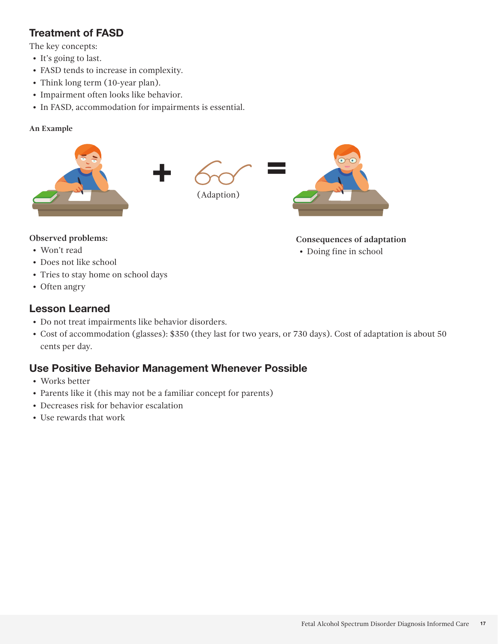# Treatment of FASD

The key concepts:

- It's going to last.
- FASD tends to increase in complexity.
- Think long term (10-year plan).
- Impairment often looks like behavior.
- In FASD, accommodation for impairments is essential.

#### **An Example**



#### **Observed problems:**

- Won't read
- Does not like school
- Tries to stay home on school days
- Often angry

#### Lesson Learned

- Do not treat impairments like behavior disorders.
- Cost of accommodation (glasses): \$350 (they last for two years, or 730 days). Cost of adaptation is about 50 cents per day.

#### Use Positive Behavior Management Whenever Possible

- Works better
- Parents like it (this may not be a familiar concept for parents)
- Decreases risk for behavior escalation
- Use rewards that work

#### **Consequences of adaptation**

• Doing fine in school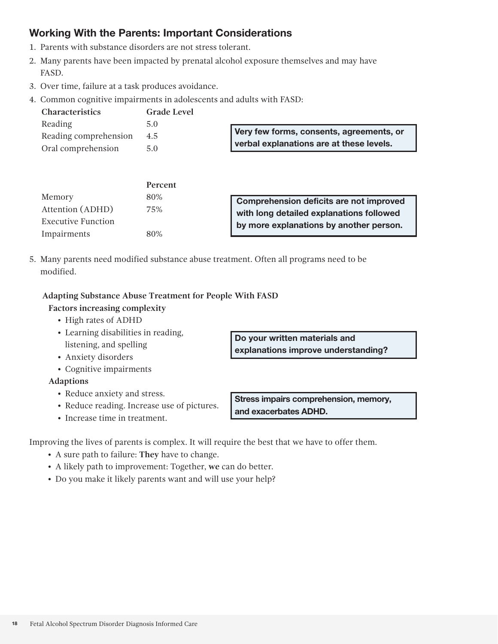#### Working With the Parents: Important Considerations

- 1. Parents with substance disorders are not stress tolerant.
- 2. Many parents have been impacted by prenatal alcohol exposure themselves and may have FASD.
- 3. Over time, failure at a task produces avoidance.
- 4. Common cognitive impairments in adolescents and adults with FASD:

| <b>Characteristics</b> | Grade Level |                                          |
|------------------------|-------------|------------------------------------------|
| Reading                | 5.0         |                                          |
| Reading comprehension  | 4.5         | Very few forms, consents, agreements, or |
| Oral comprehension     | 5.0         | verbal explanations are at these levels. |

|                           | <b>Percent</b> |                                          |
|---------------------------|----------------|------------------------------------------|
| Memory                    | 80%            | Comprehension deficits are not improved  |
| Attention (ADHD)          | 75%            | with long detailed explanations followed |
| <b>Executive Function</b> |                | by more explanations by another person.  |
| Impairments               | 80%            |                                          |

5. Many parents need modified substance abuse treatment. Often all programs need to be modified.

#### **Adapting Substance Abuse Treatment for People With FASD**

#### **Factors increasing complexity**

- High rates of ADHD
- Learning disabilities in reading, listening, and spelling
- Anxiety disorders
- Cognitive impairments

#### **Adaptions**

- Reduce anxiety and stress.
- Reduce reading. Increase use of pictures.
- Increase time in treatment.

Do your written materials and explanations improve understanding?

Stress impairs comprehension, memory, and exacerbates ADHD.

Improving the lives of parents is complex. It will require the best that we have to offer them.

- A sure path to failure: **They** have to change.
- A likely path to improvement: Together, **we** can do better.
- Do you make it likely parents want and will use your help?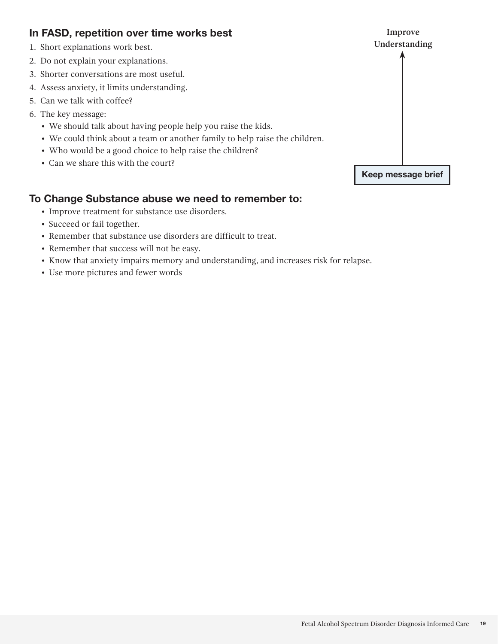#### In FASD, repetition over time works best

- 1. Short explanations work best.
- 2. Do not explain your explanations.
- 3. Shorter conversations are most useful.
- 4. Assess anxiety, it limits understanding.
- 5. Can we talk with coffee?
- 6. The key message:
	- We should talk about having people help you raise the kids.
	- We could think about a team or another family to help raise the children.
	- Who would be a good choice to help raise the children?
	- Can we share this with the court?

#### To Change Substance abuse we need to remember to:

- Improve treatment for substance use disorders.
- Succeed or fail together.
- Remember that substance use disorders are difficult to treat.
- Remember that success will not be easy.
- Know that anxiety impairs memory and understanding, and increases risk for relapse.
- Use more pictures and fewer words

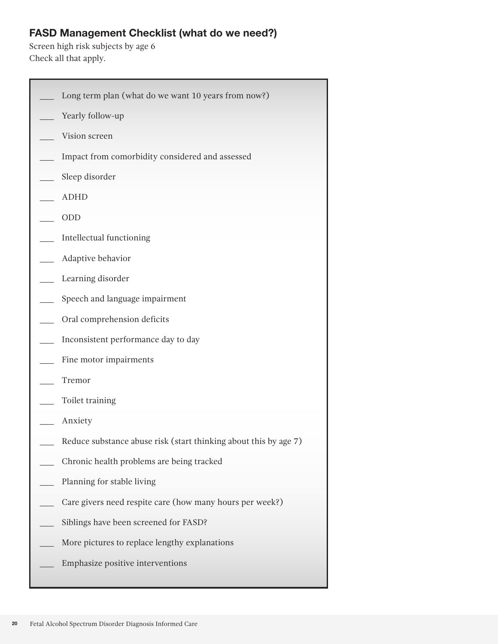## FASD Management Checklist (what do we need?)

Screen high risk subjects by age 6 Check all that apply.

| Long term plan (what do we want 10 years from now?)              |
|------------------------------------------------------------------|
| Yearly follow-up                                                 |
| Vision screen                                                    |
| Impact from comorbidity considered and assessed                  |
| Sleep disorder                                                   |
| <b>ADHD</b>                                                      |
| ODD                                                              |
| Intellectual functioning                                         |
| Adaptive behavior                                                |
| Learning disorder                                                |
| Speech and language impairment                                   |
| Oral comprehension deficits                                      |
| Inconsistent performance day to day                              |
| Fine motor impairments                                           |
| Tremor                                                           |
| Toilet training                                                  |
| Anxiety                                                          |
| Reduce substance abuse risk (start thinking about this by age 7) |
| Chronic health problems are being tracked                        |
| Planning for stable living                                       |
| Care givers need respite care (how many hours per week?)         |
| Siblings have been screened for FASD?                            |
| More pictures to replace lengthy explanations                    |
| Emphasize positive interventions                                 |
|                                                                  |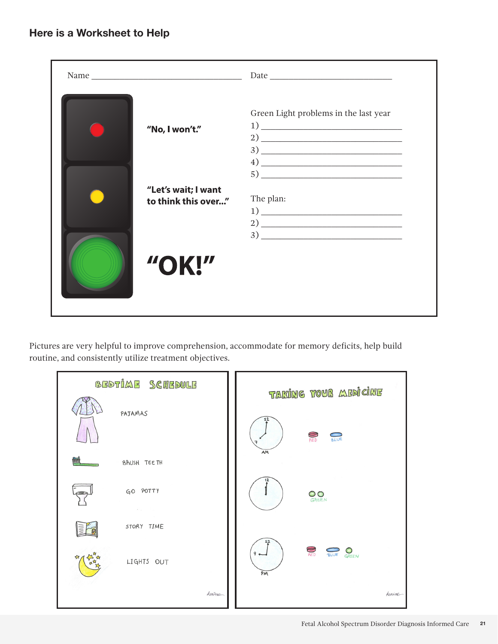| "No, I won't." | Green Light problems in the last year<br>$\begin{tabular}{c} 1) \end{tabular}$<br>$\left(4\right)$ $\frac{1}{\sqrt{2}}$                                                                                                                                                                                                                                                                                                                                                                                                                                                                                                                                                                                                                                                                                                                                                                                                                                                                                                                                                                                                                                                                                                                                                                                                                                                   |
|----------------|---------------------------------------------------------------------------------------------------------------------------------------------------------------------------------------------------------------------------------------------------------------------------------------------------------------------------------------------------------------------------------------------------------------------------------------------------------------------------------------------------------------------------------------------------------------------------------------------------------------------------------------------------------------------------------------------------------------------------------------------------------------------------------------------------------------------------------------------------------------------------------------------------------------------------------------------------------------------------------------------------------------------------------------------------------------------------------------------------------------------------------------------------------------------------------------------------------------------------------------------------------------------------------------------------------------------------------------------------------------------------|
|                | $\begin{picture}(20,10) \put(0,0){\vector(1,0){100}} \put(15,0){\vector(1,0){100}} \put(15,0){\vector(1,0){100}} \put(15,0){\vector(1,0){100}} \put(15,0){\vector(1,0){100}} \put(15,0){\vector(1,0){100}} \put(15,0){\vector(1,0){100}} \put(15,0){\vector(1,0){100}} \put(15,0){\vector(1,0){100}} \put(15,0){\vector(1,0){100}} \put(15,0){\vector(1,0){100}} \$<br>"Let's wait; I want<br>The plan:<br>to think this over"<br>$\frac{1}{\sqrt{1-\frac{1}{2}}}\frac{1}{\sqrt{1-\frac{1}{2}}}\frac{1}{\sqrt{1-\frac{1}{2}}}\frac{1}{\sqrt{1-\frac{1}{2}}}\frac{1}{\sqrt{1-\frac{1}{2}}}\frac{1}{\sqrt{1-\frac{1}{2}}}\frac{1}{\sqrt{1-\frac{1}{2}}}\frac{1}{\sqrt{1-\frac{1}{2}}}\frac{1}{\sqrt{1-\frac{1}{2}}}\frac{1}{\sqrt{1-\frac{1}{2}}}\frac{1}{\sqrt{1-\frac{1}{2}}}\frac{1}{\sqrt{1-\frac{1}{2}}}\frac{1}{\sqrt{1-\frac{1}{2}}}\frac{1}{\sqrt{1-\frac{$<br>$\begin{tabular}{c} $2$ & \begin{tabular}{@{}c@{}} \multicolumn{3}{c} {\textbf{2}} \\ \multicolumn{3}{c} {\textbf{2}} \\ \multicolumn{3}{c} {\textbf{2}} \\ \multicolumn{3}{c} {\textbf{2}} \\ \multicolumn{3}{c} {\textbf{2}} \\ \multicolumn{3}{c} {\textbf{2}} \\ \multicolumn{3}{c} {\textbf{2}} \\ \multicolumn{3}{c} {\textbf{2}} \\ \multicolumn{3}{c} {\textbf{2}} \\ \multicolumn{3}{c} {\textbf{2}} \\ \multicolumn{3}{c} {\textbf{2}} \\ \multicolumn{3}{c} {\textbf{2}} \\ \multicolumn$ |
| "OK!"          |                                                                                                                                                                                                                                                                                                                                                                                                                                                                                                                                                                                                                                                                                                                                                                                                                                                                                                                                                                                                                                                                                                                                                                                                                                                                                                                                                                           |

Pictures are very helpful to improve comprehension, accommodate for memory deficits, help build routine, and consistently utilize treatment objectives.

| BEDTIME SCHEDULE                      | TAKING YOUR ABDICINE                              |
|---------------------------------------|---------------------------------------------------|
| PAJAMAS                               | 12<br>R<br><b>BLUE</b>                            |
| BRUSH TEETH                           | AM                                                |
| GO POTTY<br>$\mathcal{F}=\mathcal{K}$ | <b>OO</b><br>GREEN                                |
| STORY TIME                            |                                                   |
| LIGHTS OUT                            | $\bigotimes_{A\in D}$<br>GREEN<br>BLUE<br>9<br>PM |
| kenime                                | kenime                                            |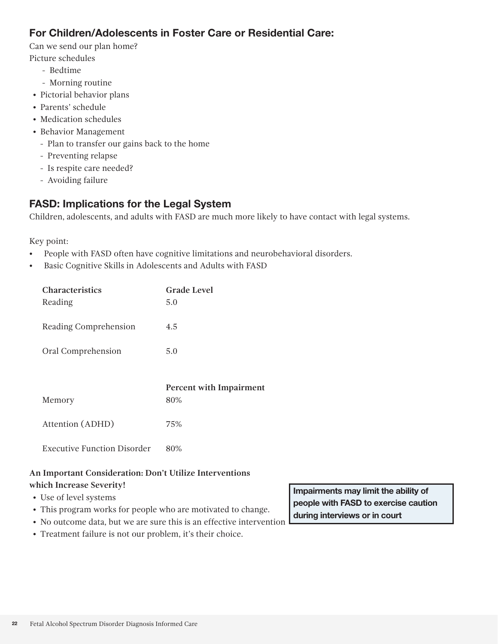#### For Children/Adolescents in Foster Care or Residential Care:

Can we send our plan home?

Picture schedules

- Bedtime
- Morning routine
- Pictorial behavior plans
- Parents' schedule
- Medication schedules
- Behavior Management
	- Plan to transfer our gains back to the home
	- Preventing relapse
	- Is respite care needed?
	- Avoiding failure

#### FASD: Implications for the Legal System

Children, adolescents, and adults with FASD are much more likely to have contact with legal systems.

Key point:

- People with FASD often have cognitive limitations and neurobehavioral disorders.
- Basic Cognitive Skills in Adolescents and Adults with FASD

| <b>Characteristics</b><br>Reading  | Grade Level<br>5.0                    |
|------------------------------------|---------------------------------------|
| Reading Comprehension              | 4.5                                   |
| Oral Comprehension                 | 5.0                                   |
|                                    |                                       |
| Memory                             | <b>Percent with Impairment</b><br>80% |
| Attention (ADHD)                   | 75%                                   |
| <b>Executive Function Disorder</b> | 80%                                   |

#### **An Important Consideration: Don't Utilize Interventions**

#### **which Increase Severity!**

- Use of level systems
- This program works for people who are motivated to change.
- No outcome data, but we are sure this is an effective intervention
- Treatment failure is not our problem, it's their choice.

Impairments may limit the ability of people with FASD to exercise caution during interviews or in court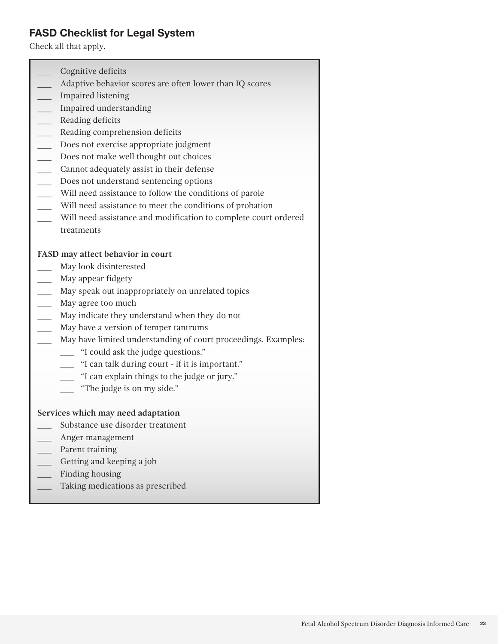#### FASD Checklist for Legal System

Check all that apply.

Cognitive deficits Adaptive behavior scores are often lower than IQ scores \_\_\_ Impaired listening \_\_\_ Impaired understanding \_\_\_ Reading deficits Reading comprehension deficits Does not exercise appropriate judgment Does not make well thought out choices \_\_\_ Cannot adequately assist in their defense Does not understand sentencing options \_\_\_ Will need assistance to follow the conditions of parole Will need assistance to meet the conditions of probation Will need assistance and modification to complete court ordered treatments **FASD may affect behavior in court** May look disinterested \_\_\_ May appear fidgety \_\_\_ May speak out inappropriately on unrelated topics May agree too much May indicate they understand when they do not May have a version of temper tantrums May have limited understanding of court proceedings. Examples: \_\_\_ "I could ask the judge questions." \_\_\_ "I can talk during court - if it is important." \_\_\_ "I can explain things to the judge or jury." \_\_\_ "The judge is on my side." **Services which may need adaptation** Substance use disorder treatment \_\_\_ Anger management \_\_\_ Parent training \_\_\_ Getting and keeping a job Finding housing Taking medications as prescribed